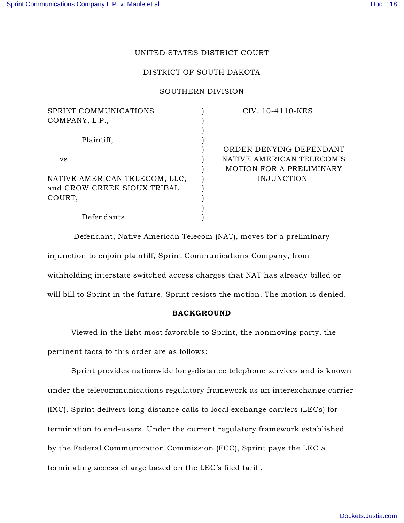# UNITED STATES DISTRICT COURT

# DISTRICT OF SOUTH DAKOTA

### SOUTHERN DIVISION

| SPRINT COMMUNICATIONS         | CIV. 10-4110-KES          |
|-------------------------------|---------------------------|
| COMPANY, L.P.,                |                           |
|                               |                           |
| Plaintiff,                    |                           |
|                               | ORDER DENYING DEFENDANT   |
| VS.                           | NATIVE AMERICAN TELECOM'S |
|                               | MOTION FOR A PRELIMINARY  |
| NATIVE AMERICAN TELECOM, LLC, | INJUNCTION                |
| and CROW CREEK SIOUX TRIBAL   |                           |
| COURT,                        |                           |
|                               |                           |
| Defendants.                   |                           |
|                               |                           |

Defendant, Native American Telecom (NAT), moves for a preliminary injunction to enjoin plaintiff, Sprint Communications Company, from withholding interstate switched access charges that NAT has already billed or will bill to Sprint in the future. Sprint resists the motion. The motion is denied.

### BACKGROUND

Viewed in the light most favorable to Sprint, the nonmoving party, the pertinent facts to this order are as follows:

Sprint provides nationwide long-distance telephone services and is known under the telecommunications regulatory framework as an interexchange carrier (IXC). Sprint delivers long-distance calls to local exchange carriers (LECs) for termination to end-users. Under the current regulatory framework established by the Federal Communication Commission (FCC), Sprint pays the LEC a terminating access charge based on the LEC's filed tariff.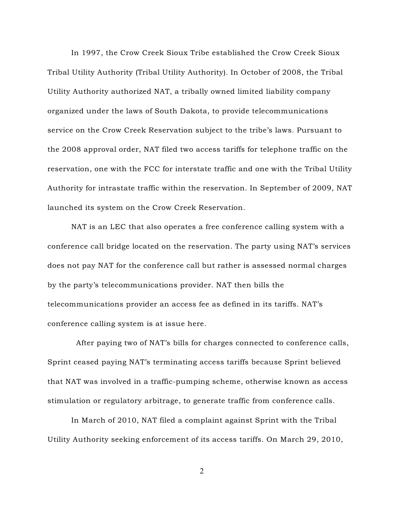In 1997, the Crow Creek Sioux Tribe established the Crow Creek Sioux Tribal Utility Authority (Tribal Utility Authority). In October of 2008, the Tribal Utility Authority authorized NAT, a tribally owned limited liability company organized under the laws of South Dakota, to provide telecommunications service on the Crow Creek Reservation subject to the tribe's laws. Pursuant to the 2008 approval order, NAT filed two access tariffs for telephone traffic on the reservation, one with the FCC for interstate traffic and one with the Tribal Utility Authority for intrastate traffic within the reservation. In September of 2009, NAT launched its system on the Crow Creek Reservation.

NAT is an LEC that also operates a free conference calling system with a conference call bridge located on the reservation. The party using NAT's services does not pay NAT for the conference call but rather is assessed normal charges by the party's telecommunications provider. NAT then bills the telecommunications provider an access fee as defined in its tariffs. NAT's conference calling system is at issue here.

After paying two of NAT's bills for charges connected to conference calls, Sprint ceased paying NAT's terminating access tariffs because Sprint believed that NAT was involved in a traffic-pumping scheme, otherwise known as access stimulation or regulatory arbitrage, to generate traffic from conference calls.

In March of 2010, NAT filed a complaint against Sprint with the Tribal Utility Authority seeking enforcement of its access tariffs. On March 29, 2010,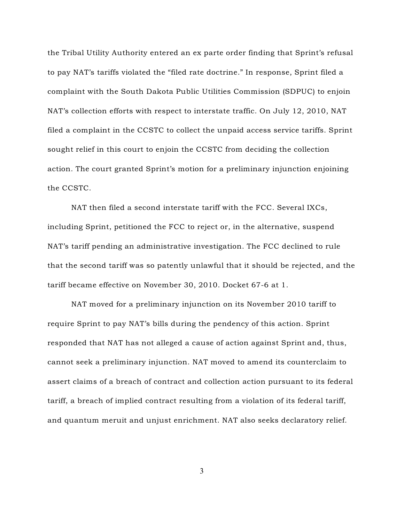the Tribal Utility Authority entered an ex parte order finding that Sprint's refusal to pay NAT's tariffs violated the "filed rate doctrine." In response, Sprint filed a complaint with the South Dakota Public Utilities Commission (SDPUC) to enjoin NAT's collection efforts with respect to interstate traffic. On July 12, 2010, NAT filed a complaint in the CCSTC to collect the unpaid access service tariffs. Sprint sought relief in this court to enjoin the CCSTC from deciding the collection action. The court granted Sprint's motion for a preliminary injunction enjoining the CCSTC.

NAT then filed a second interstate tariff with the FCC. Several IXCs, including Sprint, petitioned the FCC to reject or, in the alternative, suspend NAT's tariff pending an administrative investigation. The FCC declined to rule that the second tariff was so patently unlawful that it should be rejected, and the tariff became effective on November 30, 2010. Docket 67-6 at 1.

NAT moved for a preliminary injunction on its November 2010 tariff to require Sprint to pay NAT's bills during the pendency of this action. Sprint responded that NAT has not alleged a cause of action against Sprint and, thus, cannot seek a preliminary injunction. NAT moved to amend its counterclaim to assert claims of a breach of contract and collection action pursuant to its federal tariff, a breach of implied contract resulting from a violation of its federal tariff, and quantum meruit and unjust enrichment. NAT also seeks declaratory relief.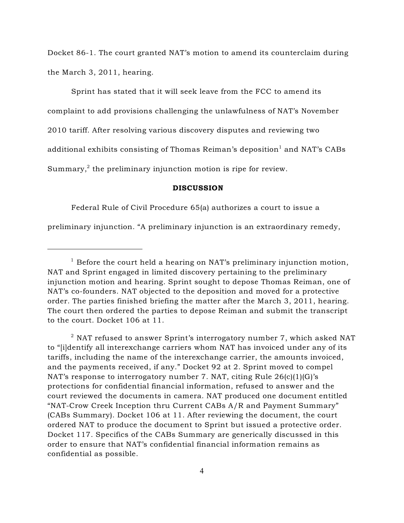Docket 86-1. The court granted NAT's motion to amend its counterclaim during the March 3, 2011, hearing.

Sprint has stated that it will seek leave from the FCC to amend its complaint to add provisions challenging the unlawfulness of NAT's November 2010 tariff. After resolving various discovery disputes and reviewing two additional exhibits consisting of Thomas Reiman's deposition $^{\rm l}$  and NAT's CABs Summary, $^2$  the preliminary injunction motion is ripe for review.

#### DISCUSSION

Federal Rule of Civil Procedure 65(a) authorizes a court to issue a

preliminary injunction. "A preliminary injunction is an extraordinary remedy,

 $^{\rm 2}$  NAT refused to answer Sprint's interrogatory number 7, which asked NAT to "[i]dentify all interexchange carriers whom NAT has invoiced under any of its tariffs, including the name of the interexchange carrier, the amounts invoiced, and the payments received, if any." Docket 92 at 2. Sprint moved to compel NAT's response to interrogatory number 7. NAT, citing Rule 26(c)(1)(G)'s protections for confidential financial information, refused to answer and the court reviewed the documents in camera. NAT produced one document entitled "NAT-Crow Creek Inception thru Current CABs A/R and Payment Summary" (CABs Summary). Docket 106 at 11. After reviewing the document, the court ordered NAT to produce the document to Sprint but issued a protective order. Docket 117. Specifics of the CABs Summary are generically discussed in this order to ensure that NAT's confidential financial information remains as confidential as possible.

 $1$  Before the court held a hearing on NAT's preliminary injunction motion, NAT and Sprint engaged in limited discovery pertaining to the preliminary injunction motion and hearing. Sprint sought to depose Thomas Reiman, one of NAT's co-founders. NAT objected to the deposition and moved for a protective order. The parties finished briefing the matter after the March 3, 2011, hearing. The court then ordered the parties to depose Reiman and submit the transcript to the court. Docket 106 at 11.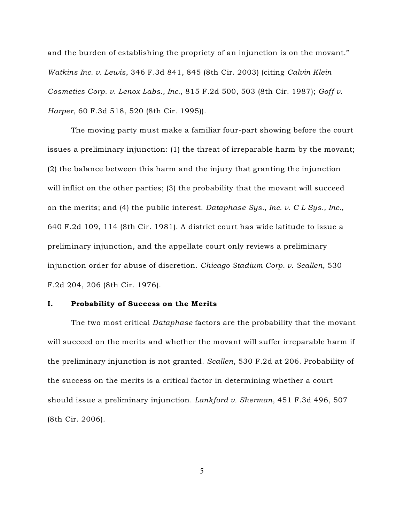and the burden of establishing the propriety of an injunction is on the movant." *Watkins Inc. v. Lewis*, 346 F.3d 841, 845 (8th Cir. 2003) (citing *Calvin Klein Cosmetics Corp. v. Lenox Labs., Inc.*, 815 F.2d 500, 503 (8th Cir. 1987); *Goff v. Harper*, 60 F.3d 518, 520 (8th Cir. 1995)).

The moving party must make a familiar four-part showing before the court issues a preliminary injunction: (1) the threat of irreparable harm by the movant; (2) the balance between this harm and the injury that granting the injunction will inflict on the other parties; (3) the probability that the movant will succeed on the merits; and (4) the public interest. *Dataphase Sys., Inc. v. C L Sys., Inc.*, 640 F.2d 109, 114 (8th Cir. 1981). A district court has wide latitude to issue a preliminary injunction, and the appellate court only reviews a preliminary injunction order for abuse of discretion. *Chicago Stadium Corp. v. Scallen*, 530 F.2d 204, 206 (8th Cir. 1976).

### I. Probability of Success on the Merits

The two most critical *Dataphase* factors are the probability that the movant will succeed on the merits and whether the movant will suffer irreparable harm if the preliminary injunction is not granted. *Scallen*, 530 F.2d at 206. Probability of the success on the merits is a critical factor in determining whether a court should issue a preliminary injunction. *Lankford v. Sherman*, 451 F.3d 496, 507 (8th Cir. 2006).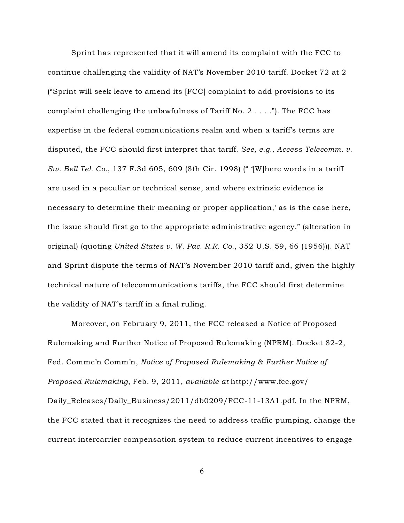Sprint has represented that it will amend its complaint with the FCC to continue challenging the validity of NAT's November 2010 tariff. Docket 72 at 2 ("Sprint will seek leave to amend its [FCC] complaint to add provisions to its complaint challenging the unlawfulness of Tariff No. 2 . . . ."). The FCC has expertise in the federal communications realm and when a tariff's terms are disputed, the FCC should first interpret that tariff. *See, e.g.*, *Access Telecomm. v. Sw. Bell Tel. Co.*, 137 F.3d 605, 609 (8th Cir. 1998) (" '[W]here words in a tariff are used in a peculiar or technical sense, and where extrinsic evidence is necessary to determine their meaning or proper application,' as is the case here, the issue should first go to the appropriate administrative agency." (alteration in original) (quoting *United States v. W. Pac. R.R. Co.*, 352 U.S. 59, 66 (1956))). NAT and Sprint dispute the terms of NAT's November 2010 tariff and, given the highly technical nature of telecommunications tariffs, the FCC should first determine the validity of NAT's tariff in a final ruling.

Moreover, on February 9, 2011, the FCC released a Notice of Proposed Rulemaking and Further Notice of Proposed Rulemaking (NPRM). Docket 82-2, Fed. Commc'n Comm'n, *Notice of Proposed Rulemaking & Further Notice of Proposed Rulemaking*, Feb. 9, 2011, *available at* http://www.fcc.gov/ Daily\_Releases/Daily\_Business/2011/db0209/FCC-11-13A1.pdf. In the NPRM, the FCC stated that it recognizes the need to address traffic pumping, change the current intercarrier compensation system to reduce current incentives to engage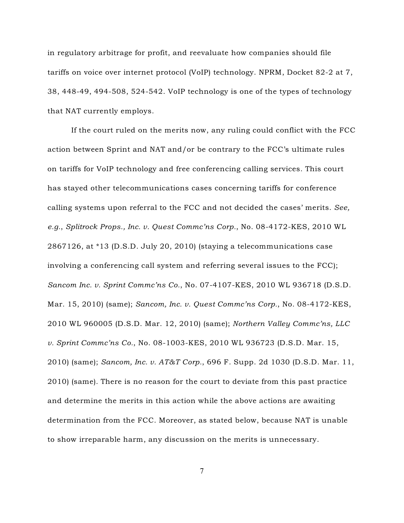in regulatory arbitrage for profit, and reevaluate how companies should file tariffs on voice over internet protocol (VoIP) technology. NPRM, Docket 82-2 at 7, 38, 448-49, 494-508, 524-542. VoIP technology is one of the types of technology that NAT currently employs.

If the court ruled on the merits now, any ruling could conflict with the FCC action between Sprint and NAT and/or be contrary to the FCC's ultimate rules on tariffs for VoIP technology and free conferencing calling services. This court has stayed other telecommunications cases concerning tariffs for conference calling systems upon referral to the FCC and not decided the cases' merits. *See, e.g.*, *Splitrock Props., Inc. v. Quest Commc'ns Corp.*, No. 08-4172-KES, 2010 WL 2867126, at \*13 (D.S.D. July 20, 2010) (staying a telecommunications case involving a conferencing call system and referring several issues to the FCC); *Sancom Inc. v. Sprint Commc'ns Co.*, No. 07-4107-KES, 2010 WL 936718 (D.S.D. Mar. 15, 2010) (same); *Sancom, Inc. v. Quest Commc'ns Corp.*, No. 08-4172-KES, 2010 WL 960005 (D.S.D. Mar. 12, 2010) (same); *Northern Valley Commc'ns, LLC v. Sprint Commc'ns Co.*, No. 08-1003-KES, 2010 WL 936723 (D.S.D. Mar. 15, 2010) (same); *Sancom, Inc. v. AT&T Corp.*, 696 F. Supp. 2d 1030 (D.S.D. Mar. 11, 2010) (same). There is no reason for the court to deviate from this past practice and determine the merits in this action while the above actions are awaiting determination from the FCC. Moreover, as stated below, because NAT is unable to show irreparable harm, any discussion on the merits is unnecessary.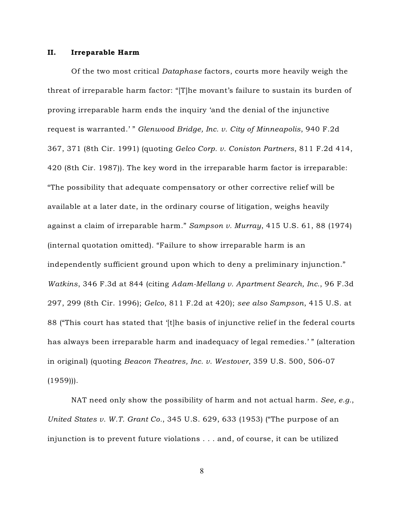#### II. Irreparable Harm

Of the two most critical *Dataphase* factors, courts more heavily weigh the threat of irreparable harm factor: "[T]he movant's failure to sustain its burden of proving irreparable harm ends the inquiry 'and the denial of the injunctive request is warranted.' " *Glenwood Bridge, Inc. v. City of Minneapolis*, 940 F.2d 367, 371 (8th Cir. 1991) (quoting *Gelco Corp. v. Coniston Partners*, 811 F.2d 414, 420 (8th Cir. 1987)). The key word in the irreparable harm factor is irreparable: "The possibility that adequate compensatory or other corrective relief will be available at a later date, in the ordinary course of litigation, weighs heavily against a claim of irreparable harm." *Sampson v. Murray*, 415 U.S. 61, 88 (1974) (internal quotation omitted). "Failure to show irreparable harm is an independently sufficient ground upon which to deny a preliminary injunction." *Watkins*, 346 F.3d at 844 (citing *Adam-Mellang v. Apartment Search, Inc.*, 96 F.3d 297, 299 (8th Cir. 1996); *Gelco*, 811 F.2d at 420); *see also Sampson*, 415 U.S. at 88 ("This court has stated that '[t]he basis of injunctive relief in the federal courts has always been irreparable harm and inadequacy of legal remedies.' " (alteration in original) (quoting *Beacon Theatres, Inc. v. Westover*, 359 U.S. 500, 506-07  $(1959)$ ).

NAT need only show the possibility of harm and not actual harm. *See, e.g.*, *United States v. W.T. Grant Co.*, 345 U.S. 629, 633 (1953) ("The purpose of an injunction is to prevent future violations . . . and, of course, it can be utilized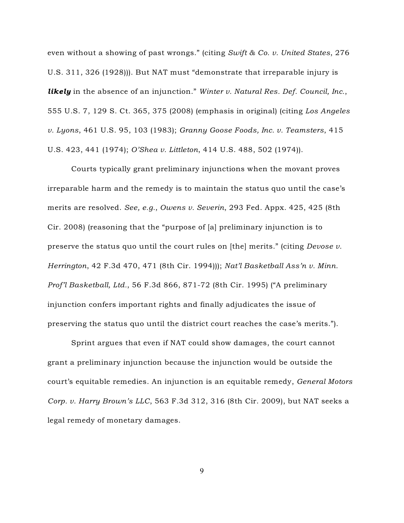even without a showing of past wrongs." (citing *Swift & Co. v. United States*, 276 U.S. 311, 326 (1928))). But NAT must "demonstrate that irreparable injury is *likely* in the absence of an injunction." *Winter v. Natural Res. Def. Council, Inc.*, 555 U.S. 7, 129 S. Ct. 365, 375 (2008) (emphasis in original) (citing *Los Angeles v. Lyons*, 461 U.S. 95, 103 (1983); *Granny Goose Foods, Inc. v. Teamsters*, 415 U.S. 423, 441 (1974); *O'Shea v. Littleton*, 414 U.S. 488, 502 (1974)).

Courts typically grant preliminary injunctions when the movant proves irreparable harm and the remedy is to maintain the status quo until the case's merits are resolved. *See, e.g.*, *Owens v. Severin*, 293 Fed. Appx. 425, 425 (8th Cir. 2008) (reasoning that the "purpose of [a] preliminary injunction is to preserve the status quo until the court rules on [the] merits." (citing *Devose v. Herrington*, 42 F.3d 470, 471 (8th Cir. 1994))); *Nat'l Basketball Ass'n v. Minn. Prof'l Basketball, Ltd.*, 56 F.3d 866, 871-72 (8th Cir. 1995) ("A preliminary injunction confers important rights and finally adjudicates the issue of preserving the status quo until the district court reaches the case's merits.").

Sprint argues that even if NAT could show damages, the court cannot grant a preliminary injunction because the injunction would be outside the court's equitable remedies. An injunction is an equitable remedy, *General Motors Corp. v. Harry Brown's LLC*, 563 F.3d 312, 316 (8th Cir. 2009), but NAT seeks a legal remedy of monetary damages.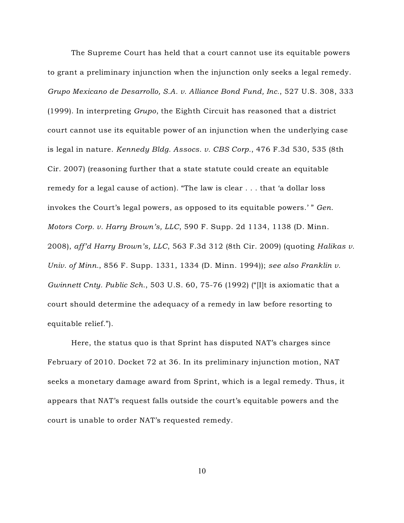The Supreme Court has held that a court cannot use its equitable powers to grant a preliminary injunction when the injunction only seeks a legal remedy. *Grupo Mexicano de Desarrollo, S.A. v. Alliance Bond Fund, Inc.*, 527 U.S. 308, 333 (1999). In interpreting *Grupo*, the Eighth Circuit has reasoned that a district court cannot use its equitable power of an injunction when the underlying case is legal in nature. *Kennedy Bldg. Assocs. v. CBS Corp.*, 476 F.3d 530, 535 (8th Cir. 2007) (reasoning further that a state statute could create an equitable remedy for a legal cause of action). "The law is clear . . . that 'a dollar loss invokes the Court's legal powers, as opposed to its equitable powers.' " *Gen. Motors Corp. v. Harry Brown's, LLC*, 590 F. Supp. 2d 1134, 1138 (D. Minn. 2008), *aff'd Harry Brown's, LLC*, 563 F.3d 312 (8th Cir. 2009) (quoting *Halikas v. Univ. of Minn.*, 856 F. Supp. 1331, 1334 (D. Minn. 1994)); *see also Franklin v. Gwinnett Cnty. Public Sch.*, 503 U.S. 60, 75-76 (1992) ("[I]t is axiomatic that a court should determine the adequacy of a remedy in law before resorting to equitable relief.").

Here, the status quo is that Sprint has disputed NAT's charges since February of 2010. Docket 72 at 36. In its preliminary injunction motion, NAT seeks a monetary damage award from Sprint, which is a legal remedy. Thus, it appears that NAT's request falls outside the court's equitable powers and the court is unable to order NAT's requested remedy.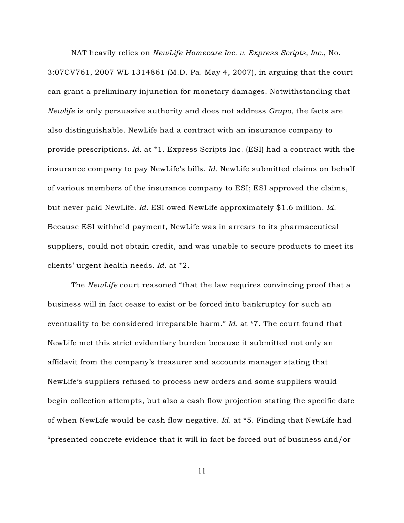NAT heavily relies on *NewLife Homecare Inc. v. Express Scripts, Inc.*, No. 3:07CV761, 2007 WL 1314861 (M.D. Pa. May 4, 2007), in arguing that the court can grant a preliminary injunction for monetary damages. Notwithstanding that *Newlife* is only persuasive authority and does not address *Grupo*, the facts are also distinguishable. NewLife had a contract with an insurance company to provide prescriptions. *Id.* at \*1. Express Scripts Inc. (ESI) had a contract with the insurance company to pay NewLife's bills. *Id.* NewLife submitted claims on behalf of various members of the insurance company to ESI; ESI approved the claims, but never paid NewLife. *Id.* ESI owed NewLife approximately \$1.6 million. *Id.* Because ESI withheld payment, NewLife was in arrears to its pharmaceutical suppliers, could not obtain credit, and was unable to secure products to meet its clients' urgent health needs. *Id.* at \*2.

The *NewLife* court reasoned "that the law requires convincing proof that a business will in fact cease to exist or be forced into bankruptcy for such an eventuality to be considered irreparable harm." *Id.* at \*7. The court found that NewLife met this strict evidentiary burden because it submitted not only an affidavit from the company's treasurer and accounts manager stating that NewLife's suppliers refused to process new orders and some suppliers would begin collection attempts, but also a cash flow projection stating the specific date of when NewLife would be cash flow negative. *Id.* at \*5. Finding that NewLife had "presented concrete evidence that it will in fact be forced out of business and/or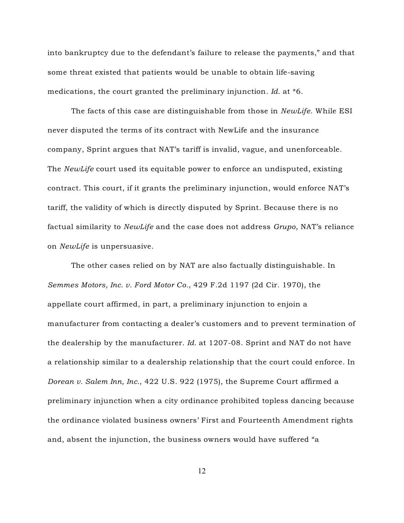into bankruptcy due to the defendant's failure to release the payments," and that some threat existed that patients would be unable to obtain life-saving medications, the court granted the preliminary injunction. *Id.* at \*6.

The facts of this case are distinguishable from those in *NewLife*. While ESI never disputed the terms of its contract with NewLife and the insurance company, Sprint argues that NAT's tariff is invalid, vague, and unenforceable. The *NewLife* court used its equitable power to enforce an undisputed, existing contract. This court, if it grants the preliminary injunction, would enforce NAT's tariff, the validity of which is directly disputed by Sprint. Because there is no factual similarity to *NewLife* and the case does not address *Grupo*, NAT's reliance on *NewLife* is unpersuasive.

The other cases relied on by NAT are also factually distinguishable. In *Semmes Motors, Inc. v. Ford Motor Co.*, 429 F.2d 1197 (2d Cir. 1970), the appellate court affirmed, in part, a preliminary injunction to enjoin a manufacturer from contacting a dealer's customers and to prevent termination of the dealership by the manufacturer. *Id.* at 1207-08. Sprint and NAT do not have a relationship similar to a dealership relationship that the court could enforce. In *Dorean v. Salem Inn, Inc.*, 422 U.S. 922 (1975), the Supreme Court affirmed a preliminary injunction when a city ordinance prohibited topless dancing because the ordinance violated business owners' First and Fourteenth Amendment rights and, absent the injunction, the business owners would have suffered "a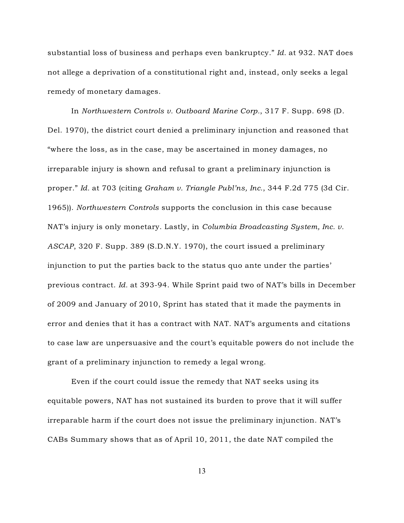substantial loss of business and perhaps even bankruptcy." *Id.* at 932. NAT does not allege a deprivation of a constitutional right and, instead, only seeks a legal remedy of monetary damages.

In *Northwestern Controls v. Outboard Marine Corp.*, 317 F. Supp. 698 (D. Del. 1970), the district court denied a preliminary injunction and reasoned that "where the loss, as in the case, may be ascertained in money damages, no irreparable injury is shown and refusal to grant a preliminary injunction is proper." *Id.* at 703 (citing *Graham v. Triangle Publ'ns, Inc.*, 344 F.2d 775 (3d Cir. 1965)). *Northwestern Controls* supports the conclusion in this case because NAT's injury is only monetary. Lastly, in *Columbia Broadcasting System, Inc. v. ASCAP*, 320 F. Supp. 389 (S.D.N.Y. 1970), the court issued a preliminary injunction to put the parties back to the status quo ante under the parties' previous contract. *Id.* at 393-94. While Sprint paid two of NAT's bills in December of 2009 and January of 2010, Sprint has stated that it made the payments in error and denies that it has a contract with NAT. NAT's arguments and citations to case law are unpersuasive and the court's equitable powers do not include the grant of a preliminary injunction to remedy a legal wrong.

Even if the court could issue the remedy that NAT seeks using its equitable powers, NAT has not sustained its burden to prove that it will suffer irreparable harm if the court does not issue the preliminary injunction. NAT's CABs Summary shows that as of April 10, 2011, the date NAT compiled the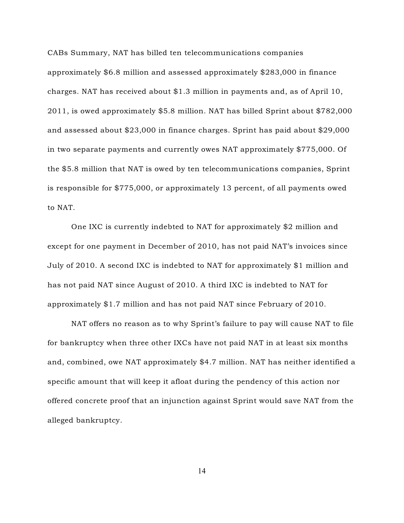CABs Summary, NAT has billed ten telecommunications companies approximately \$6.8 million and assessed approximately \$283,000 in finance charges. NAT has received about \$1.3 million in payments and, as of April 10, 2011, is owed approximately \$5.8 million. NAT has billed Sprint about \$782,000 and assessed about \$23,000 in finance charges. Sprint has paid about \$29,000 in two separate payments and currently owes NAT approximately \$775,000. Of the \$5.8 million that NAT is owed by ten telecommunications companies, Sprint is responsible for \$775,000, or approximately 13 percent, of all payments owed to NAT.

One IXC is currently indebted to NAT for approximately \$2 million and except for one payment in December of 2010, has not paid NAT's invoices since July of 2010. A second IXC is indebted to NAT for approximately \$1 million and has not paid NAT since August of 2010. A third IXC is indebted to NAT for approximately \$1.7 million and has not paid NAT since February of 2010.

NAT offers no reason as to why Sprint's failure to pay will cause NAT to file for bankruptcy when three other IXCs have not paid NAT in at least six months and, combined, owe NAT approximately \$4.7 million. NAT has neither identified a specific amount that will keep it afloat during the pendency of this action nor offered concrete proof that an injunction against Sprint would save NAT from the alleged bankruptcy.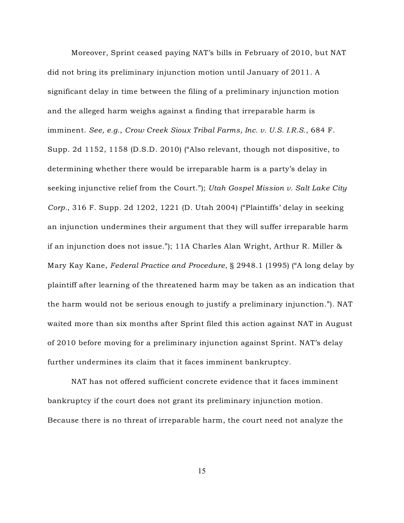Moreover, Sprint ceased paying NAT's bills in February of 2010, but NAT did not bring its preliminary injunction motion until January of 2011. A significant delay in time between the filing of a preliminary injunction motion and the alleged harm weighs against a finding that irreparable harm is imminent. *See, e.g.*, *Crow Creek Sioux Tribal Farms, Inc. v. U.S. I.R.S.*, 684 F. Supp. 2d 1152, 1158 (D.S.D. 2010) ("Also relevant, though not dispositive, to determining whether there would be irreparable harm is a party's delay in seeking injunctive relief from the Court."); *Utah Gospel Mission v. Salt Lake City Corp.*, 316 F. Supp. 2d 1202, 1221 (D. Utah 2004) ("Plaintiffs' delay in seeking an injunction undermines their argument that they will suffer irreparable harm if an injunction does not issue."); 11A Charles Alan Wright, Arthur R. Miller & Mary Kay Kane, *Federal Practice and Procedure*, § 2948.1 (1995) ("A long delay by plaintiff after learning of the threatened harm may be taken as an indication that the harm would not be serious enough to justify a preliminary injunction."). NAT waited more than six months after Sprint filed this action against NAT in August of 2010 before moving for a preliminary injunction against Sprint. NAT's delay further undermines its claim that it faces imminent bankruptcy.

NAT has not offered sufficient concrete evidence that it faces imminent bankruptcy if the court does not grant its preliminary injunction motion. Because there is no threat of irreparable harm, the court need not analyze the